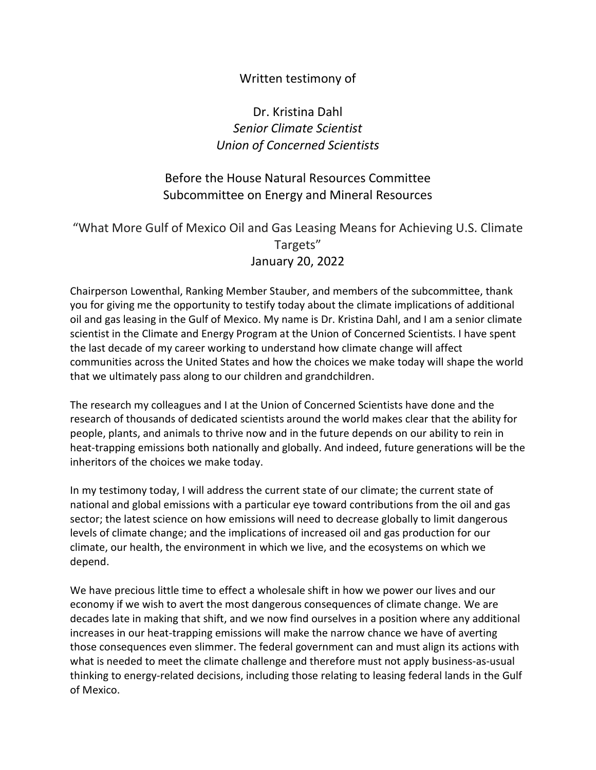#### Written testimony of

### Dr. Kristina Dahl *Senior Climate Scientist Union of Concerned Scientists*

#### Before the House Natural Resources Committee Subcommittee on Energy and Mineral Resources

#### "What More Gulf of Mexico Oil and Gas Leasing Means for Achieving U.S. Climate Targets" January 20, 2022

Chairperson Lowenthal, Ranking Member Stauber, and members of the subcommittee, thank you for giving me the opportunity to testify today about the climate implications of additional oil and gas leasing in the Gulf of Mexico. My name is Dr. Kristina Dahl, and I am a senior climate scientist in the Climate and Energy Program at the Union of Concerned Scientists. I have spent the last decade of my career working to understand how climate change will affect communities across the United States and how the choices we make today will shape the world that we ultimately pass along to our children and grandchildren.

The research my colleagues and I at the Union of Concerned Scientists have done and the research of thousands of dedicated scientists around the world makes clear that the ability for people, plants, and animals to thrive now and in the future depends on our ability to rein in heat-trapping emissions both nationally and globally. And indeed, future generations will be the inheritors of the choices we make today.

In my testimony today, I will address the current state of our climate; the current state of national and global emissions with a particular eye toward contributions from the oil and gas sector; the latest science on how emissions will need to decrease globally to limit dangerous levels of climate change; and the implications of increased oil and gas production for our climate, our health, the environment in which we live, and the ecosystems on which we depend.

We have precious little time to effect a wholesale shift in how we power our lives and our economy if we wish to avert the most dangerous consequences of climate change. We are decades late in making that shift, and we now find ourselves in a position where any additional increases in our heat-trapping emissions will make the narrow chance we have of averting those consequences even slimmer. The federal government can and must align its actions with what is needed to meet the climate challenge and therefore must not apply business-as-usual thinking to energy-related decisions, including those relating to leasing federal lands in the Gulf of Mexico.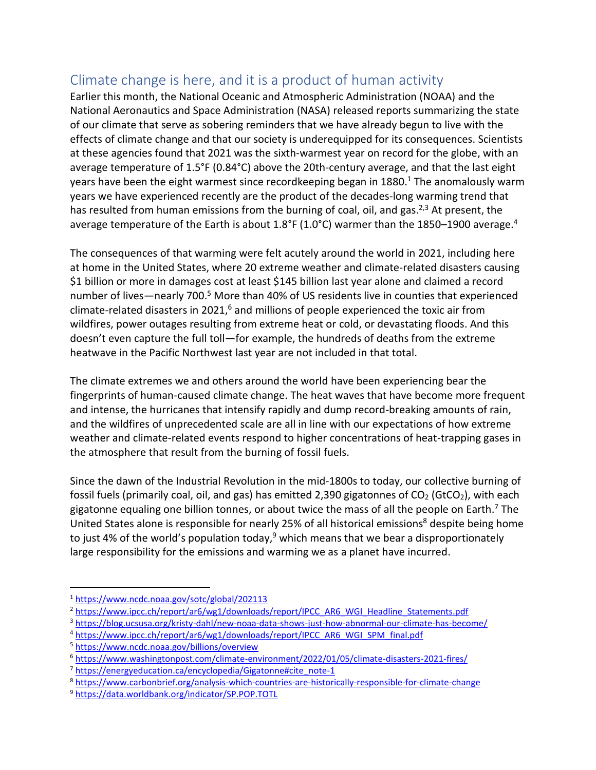## Climate change is here, and it is a product of human activity

Earlier this month, the National Oceanic and Atmospheric Administration (NOAA) and the National Aeronautics and Space Administration (NASA) released reports summarizing the state of our climate that serve as sobering reminders that we have already begun to live with the effects of climate change and that our society is underequipped for its consequences. Scientists at these agencies found that 2021 was the sixth-warmest year on record for the globe, with an average temperature of 1.5°F (0.84°C) above the 20th-century average, and that the last eight years have been the eight warmest since recordkeeping began in 1880.<sup>1</sup> The anomalously warm years we have experienced recently are the product of the decades-long warming trend that has resulted from human emissions from the burning of coal, oil, and gas.<sup>2,3</sup> At present, the average temperature of the Earth is about 1.8°F (1.0°C) warmer than the 1850–1900 average.<sup>4</sup>

The consequences of that warming were felt acutely around the world in 2021, including here at home in the United States, where 20 extreme weather and climate-related disasters causing \$1 billion or more in damages cost at least \$145 billion last year alone and claimed a record number of lives—nearly 700.<sup>5</sup> More than 40% of US residents live in counties that experienced climate-related disasters in 2021, $^6$  and millions of people experienced the toxic air from wildfires, power outages resulting from extreme heat or cold, or devastating floods. And this doesn't even capture the full toll—for example, the hundreds of deaths from the extreme heatwave in the Pacific Northwest last year are not included in that total.

The climate extremes we and others around the world have been experiencing bear the fingerprints of human-caused climate change. The heat waves that have become more frequent and intense, the hurricanes that intensify rapidly and dump record-breaking amounts of rain, and the wildfires of unprecedented scale are all in line with our expectations of how extreme weather and climate-related events respond to higher concentrations of heat-trapping gases in the atmosphere that result from the burning of fossil fuels.

Since the dawn of the Industrial Revolution in the mid-1800s to today, our collective burning of fossil fuels (primarily coal, oil, and gas) has emitted 2,390 gigatonnes of  $CO<sub>2</sub>$  (GtCO<sub>2</sub>), with each gigatonne equaling one billion tonnes, or about twice the mass of all the people on Earth.<sup>7</sup> The United States alone is responsible for nearly 25% of all historical emissions<sup>8</sup> despite being home to just 4% of the world's population today,<sup>9</sup> which means that we bear a disproportionately large responsibility for the emissions and warming we as a planet have incurred.

<sup>1</sup> <https://www.ncdc.noaa.gov/sotc/global/202113>

<sup>&</sup>lt;sup>2</sup> [https://www.ipcc.ch/report/ar6/wg1/downloads/report/IPCC\\_AR6\\_WGI\\_Headline\\_Statements.pdf](https://www.ipcc.ch/report/ar6/wg1/downloads/report/IPCC_AR6_WGI_Headline_Statements.pdf)

<sup>3</sup> <https://blog.ucsusa.org/kristy-dahl/new-noaa-data-shows-just-how-abnormal-our-climate-has-become/>

<sup>4</sup> [https://www.ipcc.ch/report/ar6/wg1/downloads/report/IPCC\\_AR6\\_WGI\\_SPM\\_final.pdf](https://www.ipcc.ch/report/ar6/wg1/downloads/report/IPCC_AR6_WGI_SPM_final.pdf)

<sup>5</sup> <https://www.ncdc.noaa.gov/billions/overview>

<sup>6</sup> <https://www.washingtonpost.com/climate-environment/2022/01/05/climate-disasters-2021-fires/>

<sup>&</sup>lt;sup>7</sup> [https://energyeducation.ca/encyclopedia/Gigatonne#cite\\_note-1](https://energyeducation.ca/encyclopedia/Gigatonne#cite_note-1)

<sup>8</sup> <https://www.carbonbrief.org/analysis-which-countries-are-historically-responsible-for-climate-change>

<sup>9</sup> <https://data.worldbank.org/indicator/SP.POP.TOTL>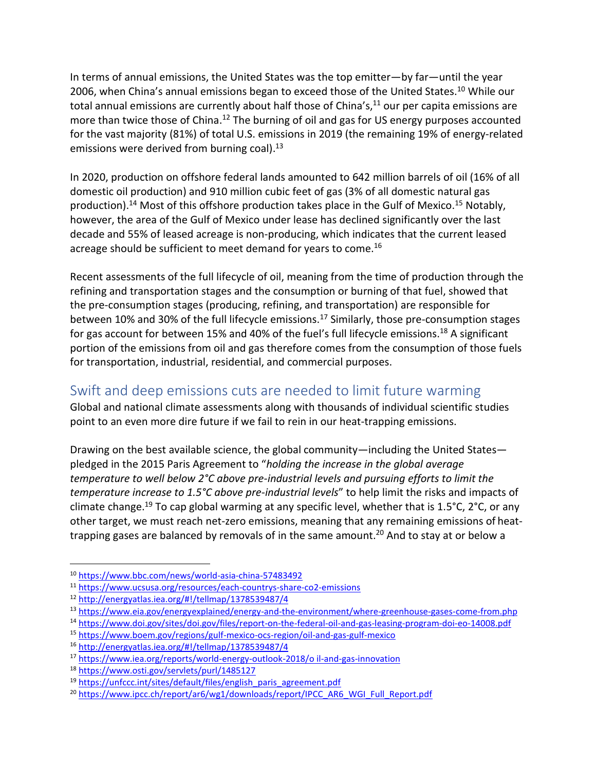In terms of annual emissions, the United States was the top emitter—by far—until the year 2006, when China's annual emissions began to exceed those of the United States.<sup>10</sup> While our total annual emissions are currently about half those of China's, $11$  our per capita emissions are more than twice those of China.<sup>12</sup> The burning of oil and gas for US energy purposes accounted for the vast majority (81%) of total U.S. emissions in 2019 (the remaining 19% of energy-related emissions were derived from burning coal).<sup>13</sup>

In 2020, production on offshore federal lands amounted to 642 million barrels of oil (16% of all domestic oil production) and 910 million cubic feet of gas (3% of all domestic natural gas production).<sup>14</sup> Most of this offshore production takes place in the Gulf of Mexico.<sup>15</sup> Notably, however, the area of the Gulf of Mexico under lease has declined significantly over the last decade and 55% of leased acreage is non-producing, which indicates that the current leased acreage should be sufficient to meet demand for years to come.<sup>16</sup>

Recent assessments of the full lifecycle of oil, meaning from the time of production through the refining and transportation stages and the consumption or burning of that fuel, showed that the pre-consumption stages (producing, refining, and transportation) are responsible for between 10% and 30% of the full lifecycle emissions.<sup>17</sup> Similarly, those pre-consumption stages for gas account for between 15% and 40% of the fuel's full lifecycle emissions.<sup>18</sup> A significant portion of the emissions from oil and gas therefore comes from the consumption of those fuels for transportation, industrial, residential, and commercial purposes.

## Swift and deep emissions cuts are needed to limit future warming

Global and national climate assessments along with thousands of individual scientific studies point to an even more dire future if we fail to rein in our heat-trapping emissions.

Drawing on the best available science, the global community—including the United States pledged in the 2015 Paris Agreement to "*holding the increase in the global average temperature to well below 2°C above pre-industrial levels and pursuing efforts to limit the temperature increase to 1.5°C above pre-industrial levels*" to help limit the risks and impacts of climate change.<sup>19</sup> To cap global warming at any specific level, whether that is 1.5°C, 2°C, or any other target, we must reach net-zero emissions, meaning that any remaining emissions of heattrapping gases are balanced by removals of in the same amount.<sup>20</sup> And to stay at or below a

<sup>10</sup> <https://www.bbc.com/news/world-asia-china-57483492>

<sup>11</sup> <https://www.ucsusa.org/resources/each-countrys-share-co2-emissions>

<sup>12</sup> <http://energyatlas.iea.org/#!/tellmap/1378539487/4>

<sup>13</sup> <https://www.eia.gov/energyexplained/energy-and-the-environment/where-greenhouse-gases-come-from.php>

<sup>14</sup> <https://www.doi.gov/sites/doi.gov/files/report-on-the-federal-oil-and-gas-leasing-program-doi-eo-14008.pdf>

<sup>15</sup> <https://www.boem.gov/regions/gulf-mexico-ocs-region/oil-and-gas-gulf-mexico>

<sup>16</sup> <http://energyatlas.iea.org/#!/tellmap/1378539487/4>

<sup>17</sup> [https://www.iea.org/reports/world-energy-outlook-2018/o il-and-gas-innovation](https://www.iea.org/reports/world-energy-outlook-2018/o%20il-and-gas-innovation)

<sup>18</sup> <https://www.osti.gov/servlets/purl/1485127>

<sup>&</sup>lt;sup>19</sup> [https://unfccc.int/sites/default/files/english\\_paris\\_agreement.pdf](https://unfccc.int/sites/default/files/english_paris_agreement.pdf)

<sup>&</sup>lt;sup>20</sup> [https://www.ipcc.ch/report/ar6/wg1/downloads/report/IPCC\\_AR6\\_WGI\\_Full\\_Report.pdf](https://www.ipcc.ch/report/ar6/wg1/downloads/report/IPCC_AR6_WGI_Full_Report.pdf)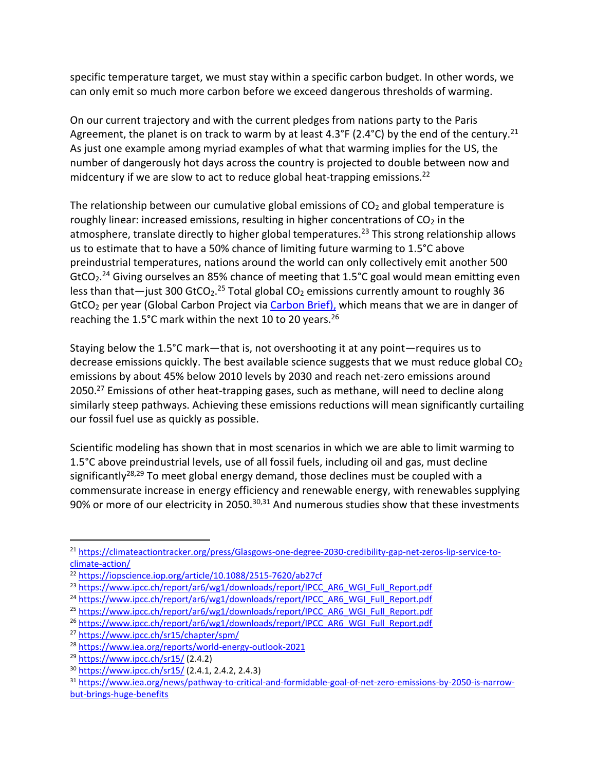specific temperature target, we must stay within a specific carbon budget. In other words, we can only emit so much more carbon before we exceed dangerous thresholds of warming.

On our current trajectory and with the current pledges from nations party to the Paris Agreement, the planet is on track to warm by at least 4.3°F (2.4°C) by the end of the century.<sup>21</sup> As just one example among myriad examples of what that warming implies for the US, the number of dangerously hot days across the country is projected to double between now and midcentury if we are slow to act to reduce global heat-trapping emissions.<sup>22</sup>

The relationship between our cumulative global emissions of  $CO<sub>2</sub>$  and global temperature is roughly linear: increased emissions, resulting in higher concentrations of  $CO<sub>2</sub>$  in the atmosphere, translate directly to higher global temperatures.<sup>23</sup> This strong relationship allows us to estimate that to have a 50% chance of limiting future warming to 1.5°C above preindustrial temperatures, nations around the world can only collectively emit another 500 GtCO<sub>2</sub>.<sup>24</sup> Giving ourselves an 85% chance of meeting that 1.5°C goal would mean emitting even less than that—just 300 GtCO<sub>2</sub>.<sup>25</sup> Total global CO<sub>2</sub> emissions currently amount to roughly 36 GtCO<sub>2</sub> per year (Global Carbon Project vi[a Carbon Brief\)](https://www.carbonbrief.org/global-co2-emissions-have-been-flat-for-a-decade-new-data-reveals), which means that we are in danger of reaching the 1.5°C mark within the next 10 to 20 years.<sup>26</sup>

Staying below the 1.5°C mark—that is, not overshooting it at any point—requires us to decrease emissions quickly. The best available science suggests that we must reduce global  $CO<sub>2</sub>$ emissions by about 45% below 2010 levels by 2030 and reach net-zero emissions around 2050.<sup>27</sup> Emissions of other heat-trapping gases, such as methane, will need to decline along similarly steep pathways. Achieving these emissions reductions will mean significantly curtailing our fossil fuel use as quickly as possible.

Scientific modeling has shown that in most scenarios in which we are able to limit warming to 1.5°C above preindustrial levels, use of all fossil fuels, including oil and gas, must decline significantly<sup>28,29</sup> To meet global energy demand, those declines must be coupled with a commensurate increase in energy efficiency and renewable energy, with renewables supplying 90% or more of our electricity in 2050.<sup>30,31</sup> And numerous studies show that these investments

<sup>21</sup> [https://climateactiontracker.org/press/Glasgows-one-degree-2030-credibility-gap-net-zeros-lip-service-to](https://climateactiontracker.org/press/Glasgows-one-degree-2030-credibility-gap-net-zeros-lip-service-to-climate-action/)[climate-action/](https://climateactiontracker.org/press/Glasgows-one-degree-2030-credibility-gap-net-zeros-lip-service-to-climate-action/)

<sup>22</sup> <https://iopscience.iop.org/article/10.1088/2515-7620/ab27cf>

<sup>&</sup>lt;sup>23</sup> [https://www.ipcc.ch/report/ar6/wg1/downloads/report/IPCC\\_AR6\\_WGI\\_Full\\_Report.pdf](https://www.ipcc.ch/report/ar6/wg1/downloads/report/IPCC_AR6_WGI_Full_Report.pdf)

<sup>&</sup>lt;sup>24</sup> [https://www.ipcc.ch/report/ar6/wg1/downloads/report/IPCC\\_AR6\\_WGI\\_Full\\_Report.pdf](https://www.ipcc.ch/report/ar6/wg1/downloads/report/IPCC_AR6_WGI_Full_Report.pdf)

<sup>&</sup>lt;sup>25</sup> [https://www.ipcc.ch/report/ar6/wg1/downloads/report/IPCC\\_AR6\\_WGI\\_Full\\_Report.pdf](https://www.ipcc.ch/report/ar6/wg1/downloads/report/IPCC_AR6_WGI_Full_Report.pdf)

<sup>&</sup>lt;sup>26</sup> [https://www.ipcc.ch/report/ar6/wg1/downloads/report/IPCC\\_AR6\\_WGI\\_Full\\_Report.pdf](https://www.ipcc.ch/report/ar6/wg1/downloads/report/IPCC_AR6_WGI_Full_Report.pdf)

<sup>27</sup> <https://www.ipcc.ch/sr15/chapter/spm/>

<sup>28</sup> <https://www.iea.org/reports/world-energy-outlook-2021>

<sup>29</sup> <https://www.ipcc.ch/sr15/> (2.4.2)

<sup>30</sup> <https://www.ipcc.ch/sr15/> (2.4.1, 2.4.2, 2.4.3)

<sup>31</sup> [https://www.iea.org/news/pathway-to-critical-and-formidable-goal-of-net-zero-emissions-by-2050-is-narrow](https://www.iea.org/news/pathway-to-critical-and-formidable-goal-of-net-zero-emissions-by-2050-is-narrow-but-brings-huge-benefits)[but-brings-huge-benefits](https://www.iea.org/news/pathway-to-critical-and-formidable-goal-of-net-zero-emissions-by-2050-is-narrow-but-brings-huge-benefits)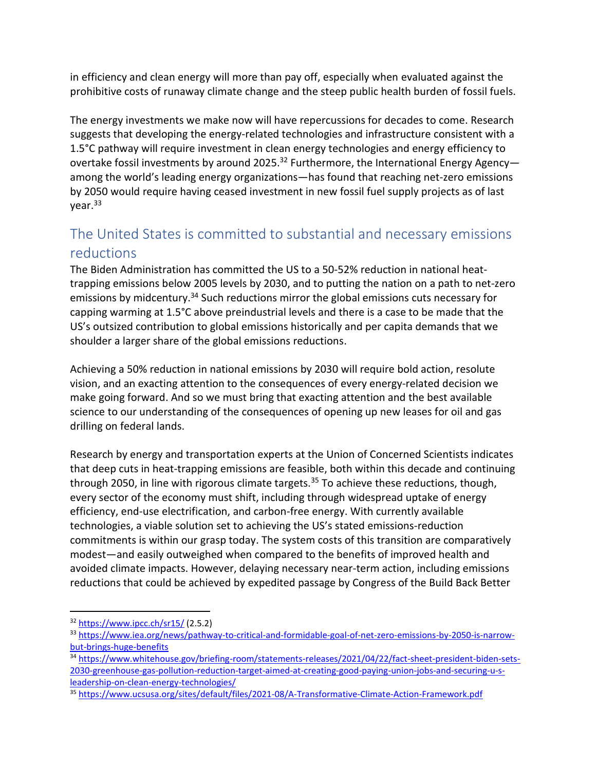in efficiency and clean energy will more than pay off, especially when evaluated against the prohibitive costs of runaway climate change and the steep public health burden of fossil fuels.

The energy investments we make now will have repercussions for decades to come. Research suggests that developing the energy-related technologies and infrastructure consistent with a 1.5°C pathway will require investment in clean energy technologies and energy efficiency to overtake fossil investments by around 2025.<sup>32</sup> Furthermore, the International Energy Agencyamong the world's leading energy organizations—has found that reaching net-zero emissions by 2050 would require having ceased investment in new fossil fuel supply projects as of last year.<sup>33</sup>

# The United States is committed to substantial and necessary emissions reductions

The Biden Administration has committed the US to a 50-52% reduction in national heattrapping emissions below 2005 levels by 2030, and to putting the nation on a path to net-zero emissions by midcentury.<sup>34</sup> Such reductions mirror the global emissions cuts necessary for capping warming at 1.5°C above preindustrial levels and there is a case to be made that the US's outsized contribution to global emissions historically and per capita demands that we shoulder a larger share of the global emissions reductions.

Achieving a 50% reduction in national emissions by 2030 will require bold action, resolute vision, and an exacting attention to the consequences of every energy-related decision we make going forward. And so we must bring that exacting attention and the best available science to our understanding of the consequences of opening up new leases for oil and gas drilling on federal lands.

Research by energy and transportation experts at the Union of Concerned Scientists indicates that deep cuts in heat-trapping emissions are feasible, both within this decade and continuing through 2050, in line with rigorous climate targets.<sup>35</sup> To achieve these reductions, though, every sector of the economy must shift, including through widespread uptake of energy efficiency, end-use electrification, and carbon-free energy. With currently available technologies, a viable solution set to achieving the US's stated emissions-reduction commitments is within our grasp today. The system costs of this transition are comparatively modest—and easily outweighed when compared to the benefits of improved health and avoided climate impacts. However, delaying necessary near-term action, including emissions reductions that could be achieved by expedited passage by Congress of the Build Back Better

 $32$  <https://www.ipcc.ch/sr15/> (2.5.2)

<sup>33</sup> [https://www.iea.org/news/pathway-to-critical-and-formidable-goal-of-net-zero-emissions-by-2050-is-narrow](https://www.iea.org/news/pathway-to-critical-and-formidable-goal-of-net-zero-emissions-by-2050-is-narrow-but-brings-huge-benefits)[but-brings-huge-benefits](https://www.iea.org/news/pathway-to-critical-and-formidable-goal-of-net-zero-emissions-by-2050-is-narrow-but-brings-huge-benefits)

<sup>34</sup> [https://www.whitehouse.gov/briefing-room/statements-releases/2021/04/22/fact-sheet-president-biden-sets-](https://www.whitehouse.gov/briefing-room/statements-releases/2021/04/22/fact-sheet-president-biden-sets-2030-greenhouse-gas-pollution-reduction-target-aimed-at-creating-good-paying-union-jobs-and-securing-u-s-leadership-on-clean-energy-technologies/)[2030-greenhouse-gas-pollution-reduction-target-aimed-at-creating-good-paying-union-jobs-and-securing-u-s](https://www.whitehouse.gov/briefing-room/statements-releases/2021/04/22/fact-sheet-president-biden-sets-2030-greenhouse-gas-pollution-reduction-target-aimed-at-creating-good-paying-union-jobs-and-securing-u-s-leadership-on-clean-energy-technologies/)[leadership-on-clean-energy-technologies/](https://www.whitehouse.gov/briefing-room/statements-releases/2021/04/22/fact-sheet-president-biden-sets-2030-greenhouse-gas-pollution-reduction-target-aimed-at-creating-good-paying-union-jobs-and-securing-u-s-leadership-on-clean-energy-technologies/)

<sup>35</sup> <https://www.ucsusa.org/sites/default/files/2021-08/A-Transformative-Climate-Action-Framework.pdf>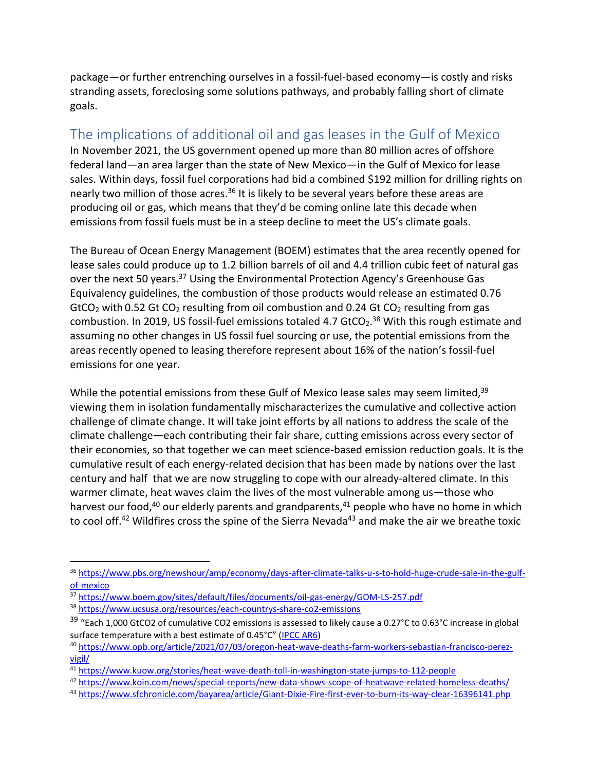package—or further entrenching ourselves in a fossil-fuel-based economy—is costly and risks stranding assets, foreclosing some solutions pathways, and probably falling short of climate goals.

# The implications of additional oil and gas leases in the Gulf of Mexico

In November 2021, the US government opened up more than 80 million acres of offshore federal land—an area larger than the state of New Mexico—in the Gulf of Mexico for lease sales. Within days, fossil fuel corporations had bid a combined \$192 million for drilling rights on nearly two million of those acres.<sup>36</sup> It is likely to be several years before these areas are producing oil or gas, which means that they'd be coming online late this decade when emissions from fossil fuels must be in a steep decline to meet the US's climate goals.

The Bureau of Ocean Energy Management (BOEM) estimates that the area recently opened for lease sales could produce up to 1.2 billion barrels of oil and 4.4 trillion cubic feet of natural gas over the next 50 years.<sup>37</sup> Using the Environmental Protection Agency's Greenhouse Gas Equivalency guidelines, the combustion of those products would release an estimated 0.76 GtCO<sub>2</sub> with 0.52 Gt CO<sub>2</sub> resulting from oil combustion and 0.24 Gt CO<sub>2</sub> resulting from gas combustion. In 2019, US fossil-fuel emissions totaled 4.7 GtCO<sub>2</sub>.<sup>38</sup> With this rough estimate and assuming no other changes in US fossil fuel sourcing or use, the potential emissions from the areas recently opened to leasing therefore represent about 16% of the nation's fossil-fuel emissions for one year.

While the potential emissions from these Gulf of Mexico lease sales may seem limited,<sup>39</sup> viewing them in isolation fundamentally mischaracterizes the cumulative and collective action challenge of climate change. It will take joint efforts by all nations to address the scale of the climate challenge—each contributing their fair share, cutting emissions across every sector of their economies, so that together we can meet science-based emission reduction goals. It is the cumulative result of each energy-related decision that has been made by nations over the last century and half that we are now struggling to cope with our already-altered climate. In this warmer climate, heat waves claim the lives of the most vulnerable among us—those who harvest our food,<sup>40</sup> our elderly parents and grandparents,<sup>41</sup> people who have no home in which to cool off.<sup>42</sup> Wildfires cross the spine of the Sierra Nevada<sup>43</sup> and make the air we breathe toxic

<sup>36</sup> [https://www.pbs.org/newshour/amp/economy/days-after-climate-talks-u-s-to-hold-huge-crude-sale-in-the-gulf](https://www.pbs.org/newshour/amp/economy/days-after-climate-talks-u-s-to-hold-huge-crude-sale-in-the-gulf-of-mexico)[of-mexico](https://www.pbs.org/newshour/amp/economy/days-after-climate-talks-u-s-to-hold-huge-crude-sale-in-the-gulf-of-mexico)

<sup>37</sup> <https://www.boem.gov/sites/default/files/documents/oil-gas-energy/GOM-LS-257.pdf>

<sup>38</sup> <https://www.ucsusa.org/resources/each-countrys-share-co2-emissions>

<sup>&</sup>lt;sup>39</sup> "Each 1,000 GtCO2 of cumulative CO2 emissions is assessed to likely cause a 0.27°C to 0.63°C increase in global surface temperature with a best estimate of 0.45°C" ([IPCC AR6\)](https://www.ipcc.ch/report/ar6/wg1/downloads/report/IPCC_AR6_WGI_Full_Report.pdf)

<sup>40</sup> [https://www.opb.org/article/2021/07/03/oregon-heat-wave-deaths-farm-workers-sebastian-francisco-perez](https://www.opb.org/article/2021/07/03/oregon-heat-wave-deaths-farm-workers-sebastian-francisco-perez-vigil/)[vigil/](https://www.opb.org/article/2021/07/03/oregon-heat-wave-deaths-farm-workers-sebastian-francisco-perez-vigil/)

<sup>41</sup> <https://www.kuow.org/stories/heat-wave-death-toll-in-washington-state-jumps-to-112-people>

<sup>42</sup> <https://www.koin.com/news/special-reports/new-data-shows-scope-of-heatwave-related-homeless-deaths/>

<sup>43</sup> <https://www.sfchronicle.com/bayarea/article/Giant-Dixie-Fire-first-ever-to-burn-its-way-clear-16396141.php>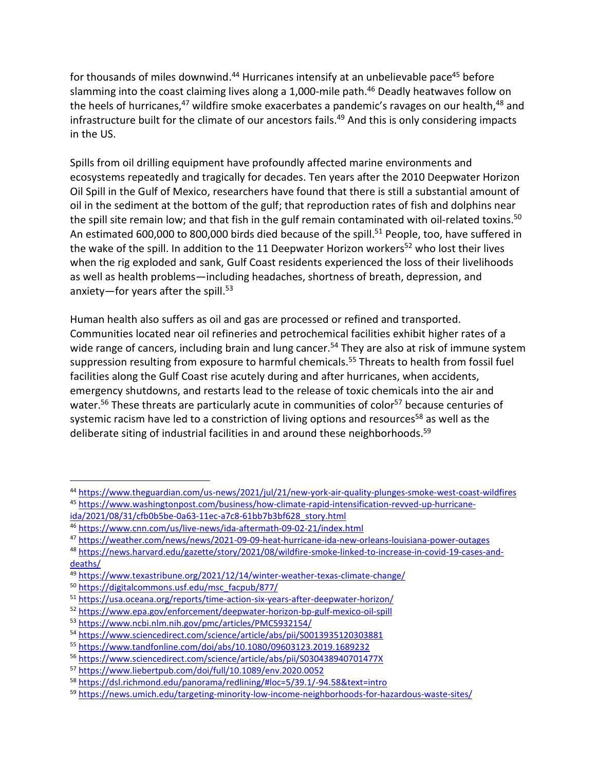for thousands of miles downwind.<sup>44</sup> Hurricanes intensify at an unbelievable pace<sup>45</sup> before slamming into the coast claiming lives along a 1,000-mile path. <sup>46</sup> Deadly heatwaves follow on the heels of hurricanes,<sup>47</sup> wildfire smoke exacerbates a pandemic's ravages on our health,<sup>48</sup> and infrastructure built for the climate of our ancestors fails. <sup>49</sup> And this is only considering impacts in the US.

Spills from oil drilling equipment have profoundly affected marine environments and ecosystems repeatedly and tragically for decades. Ten years after the 2010 Deepwater Horizon Oil Spill in the Gulf of Mexico, researchers have found that there is still a substantial amount of oil in the sediment at the bottom of the gulf; that reproduction rates of fish and dolphins near the spill site remain low; and that fish in the gulf remain contaminated with oil-related toxins.<sup>50</sup> An estimated 600,000 to 800,000 birds died because of the spill.<sup>51</sup> People, too, have suffered in the wake of the spill. In addition to the 11 Deepwater Horizon workers<sup>52</sup> who lost their lives when the rig exploded and sank, Gulf Coast residents experienced the loss of their livelihoods as well as health problems—including headaches, shortness of breath, depression, and anxiety—for years after the spill.<sup>53</sup>

Human health also suffers as oil and gas are processed or refined and transported. Communities located near oil refineries and petrochemical facilities exhibit higher rates of a wide range of cancers, including brain and lung cancer.<sup>54</sup> They are also at risk of immune system suppression resulting from exposure to harmful chemicals. <sup>55</sup> Threats to health from fossil fuel facilities along the Gulf Coast rise acutely during and after hurricanes, when accidents, emergency shutdowns, and restarts lead to the release of toxic chemicals into the air and water.<sup>56</sup> These threats are particularly acute in communities of color<sup>57</sup> because centuries of systemic racism have led to a constriction of living options and resources<sup>58</sup> as well as the deliberate siting of industrial facilities in and around these neighborhoods. 59

<sup>44</sup> <https://www.theguardian.com/us-news/2021/jul/21/new-york-air-quality-plunges-smoke-west-coast-wildfires> <sup>45</sup> [https://www.washingtonpost.com/business/how-climate-rapid-intensification-revved-up-hurricane-](https://www.washingtonpost.com/business/how-climate-rapid-intensification-revved-up-hurricane-ida/2021/08/31/cfb0b5be-0a63-11ec-a7c8-61bb7b3bf628_story.html)

[ida/2021/08/31/cfb0b5be-0a63-11ec-a7c8-61bb7b3bf628\\_story.html](https://www.washingtonpost.com/business/how-climate-rapid-intensification-revved-up-hurricane-ida/2021/08/31/cfb0b5be-0a63-11ec-a7c8-61bb7b3bf628_story.html)

<sup>46</sup> <https://www.cnn.com/us/live-news/ida-aftermath-09-02-21/index.html>

<sup>47</sup> <https://weather.com/news/news/2021-09-09-heat-hurricane-ida-new-orleans-louisiana-power-outages>

<sup>48</sup> [https://news.harvard.edu/gazette/story/2021/08/wildfire-smoke-linked-to-increase-in-covid-19-cases-and](https://news.harvard.edu/gazette/story/2021/08/wildfire-smoke-linked-to-increase-in-covid-19-cases-and-deaths/)[deaths/](https://news.harvard.edu/gazette/story/2021/08/wildfire-smoke-linked-to-increase-in-covid-19-cases-and-deaths/)

<sup>49</sup> <https://www.texastribune.org/2021/12/14/winter-weather-texas-climate-change/>

<sup>50</sup> [https://digitalcommons.usf.edu/msc\\_facpub/877/](https://digitalcommons.usf.edu/msc_facpub/877/)

<sup>51</sup> <https://usa.oceana.org/reports/time-action-six-years-after-deepwater-horizon/>

<sup>52</sup> <https://www.epa.gov/enforcement/deepwater-horizon-bp-gulf-mexico-oil-spill>

<sup>53</sup> <https://www.ncbi.nlm.nih.gov/pmc/articles/PMC5932154/>

<sup>54</sup> <https://www.sciencedirect.com/science/article/abs/pii/S0013935120303881>

<sup>55</sup> <https://www.tandfonline.com/doi/abs/10.1080/09603123.2019.1689232>

<sup>56</sup> <https://www.sciencedirect.com/science/article/abs/pii/S030438940701477X>

<sup>57</sup> <https://www.liebertpub.com/doi/full/10.1089/env.2020.0052>

<sup>58</sup> <https://dsl.richmond.edu/panorama/redlining/#loc=5/39.1/-94.58&text=intro>

<sup>59</sup> <https://news.umich.edu/targeting-minority-low-income-neighborhoods-for-hazardous-waste-sites/>